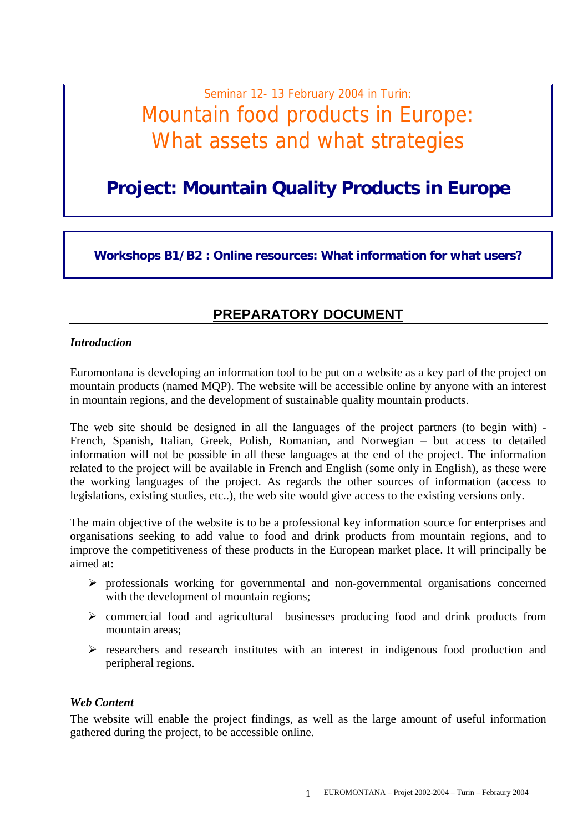# Seminar 12- 13 February 2004 in Turin: Mountain food products in Europe: What assets and what strategies

## **Project: Mountain Quality Products in Europe**

**Workshops B1/B2 : Online resources: What information for what users?** 

## **PREPARATORY DOCUMENT**

#### *Introduction*

Euromontana is developing an information tool to be put on a website as a key part of the project on mountain products (named MQP). The website will be accessible online by anyone with an interest in mountain regions, and the development of sustainable quality mountain products.

The web site should be designed in all the languages of the project partners (to begin with) - French, Spanish, Italian, Greek, Polish, Romanian, and Norwegian – but access to detailed information will not be possible in all these languages at the end of the project. The information related to the project will be available in French and English (some only in English), as these were the working languages of the project. As regards the other sources of information (access to legislations, existing studies, etc..), the web site would give access to the existing versions only.

The main objective of the website is to be a professional key information source for enterprises and organisations seeking to add value to food and drink products from mountain regions, and to improve the competitiveness of these products in the European market place. It will principally be aimed at:

- ¾ professionals working for governmental and non-governmental organisations concerned with the development of mountain regions;
- ¾ commercial food and agricultural businesses producing food and drink products from mountain areas;
- $\triangleright$  researchers and research institutes with an interest in indigenous food production and peripheral regions.

#### *Web Content*

The website will enable the project findings, as well as the large amount of useful information gathered during the project, to be accessible online.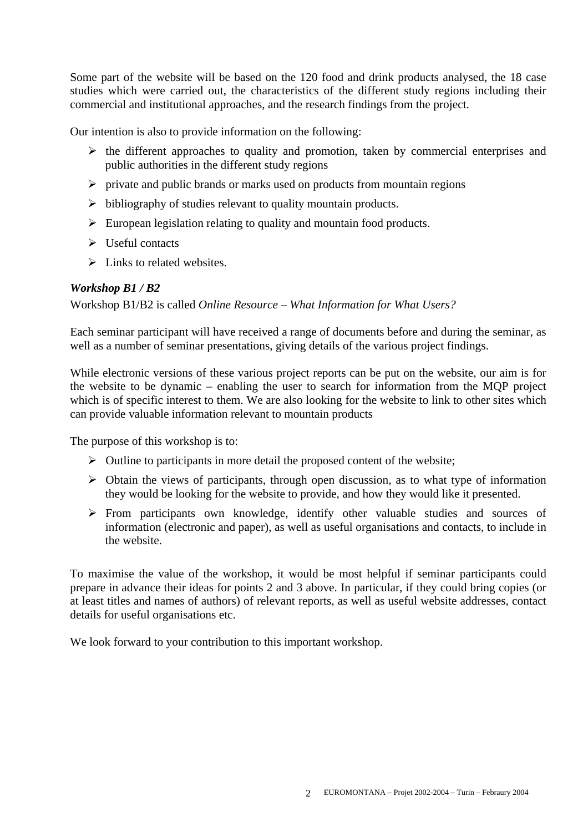Some part of the website will be based on the 120 food and drink products analysed, the 18 case studies which were carried out, the characteristics of the different study regions including their commercial and institutional approaches, and the research findings from the project.

Our intention is also to provide information on the following:

- $\triangleright$  the different approaches to quality and promotion, taken by commercial enterprises and public authorities in the different study regions
- $\triangleright$  private and public brands or marks used on products from mountain regions
- $\triangleright$  bibliography of studies relevant to quality mountain products.
- $\triangleright$  European legislation relating to quality and mountain food products.
- $\triangleright$  Useful contacts
- $\triangleright$  Links to related websites.

#### *Workshop B1 / B2*

Workshop B1/B2 is called *Online Resource – What Information for What Users?*

Each seminar participant will have received a range of documents before and during the seminar, as well as a number of seminar presentations, giving details of the various project findings.

While electronic versions of these various project reports can be put on the website, our aim is for the website to be dynamic – enabling the user to search for information from the MQP project which is of specific interest to them. We are also looking for the website to link to other sites which can provide valuable information relevant to mountain products

The purpose of this workshop is to:

- $\triangleright$  Outline to participants in more detail the proposed content of the website;
- $\triangleright$  Obtain the views of participants, through open discussion, as to what type of information they would be looking for the website to provide, and how they would like it presented.
- $\triangleright$  From participants own knowledge, identify other valuable studies and sources of information (electronic and paper), as well as useful organisations and contacts, to include in the website.

To maximise the value of the workshop, it would be most helpful if seminar participants could prepare in advance their ideas for points 2 and 3 above. In particular, if they could bring copies (or at least titles and names of authors) of relevant reports, as well as useful website addresses, contact details for useful organisations etc.

We look forward to your contribution to this important workshop.